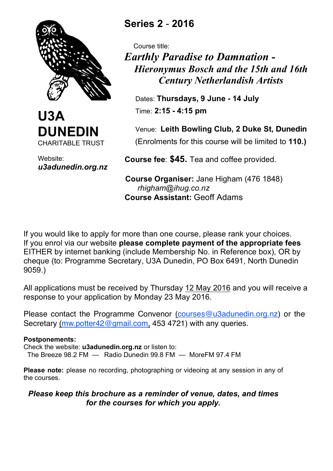



Website: *u3adunedin.org.nz*

# **Series 2** - **2016**

 Course title: *Earthly Paradise to Damnation - Hieronymus Bosch and the 15th and 16th Century Netherlandish Artists*

 Dates: **Thursdays, 9 June - 14 July** Time: **2:15 - 4:15 pm**

Venue: **Leith Bowling Club, 2 Duke St, Dunedin**

(Enrolments for this course will be limited to **110.)**

 **Course fee**: **\$45.** Tea and coffee provided.

 **Course Organiser:** Jane Higham (476 1848) *rhigham@ihug.co.nz*  **Course Assistant:** Geoff Adams

If you would like to apply for more than one course, please rank your choices. If you enrol via our website **please complete payment of the appropriate fees** EITHER by internet banking (include Membership No. in Reference box), OR by cheque (to: Programme Secretary, U3A Dunedin, PO Box 6491, North Dunedin 9059.)

All applications must be received by Thursday 12 May 2016 and you will receive a response to your application by Monday 23 May 2016.

Please contact the Programme Convenor (courses@u3adunedin.org.nz) or the Secretary (mw.potter42@gmail.com, 453 4721) with any queries.

#### **Postponements:**

Check the website: **u3adunedin.org.nz** or listen to: The Breeze 98.2 FM — Radio Dunedin 99.8 FM — MoreFM 97.4 FM

**Please note:** please no recording, photographing or videoing at any session in any of the courses.

# *Please keep this brochure as a reminder of venue, dates, and times for the courses for which you apply.*